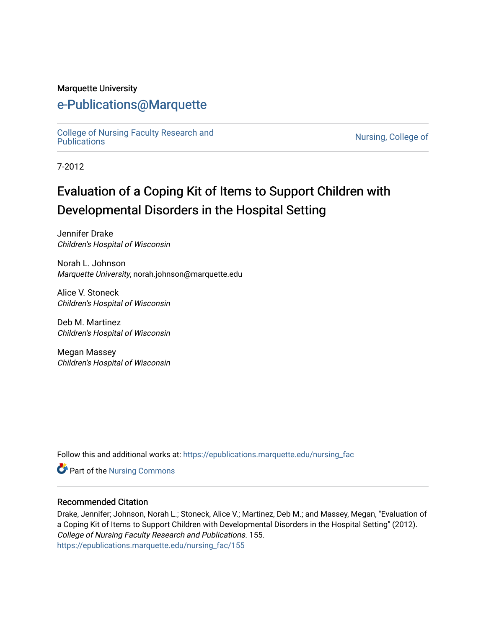## Marquette University

## [e-Publications@Marquette](https://epublications.marquette.edu/)

[College of Nursing Faculty Research and](https://epublications.marquette.edu/nursing_fac)<br>Publications

Nursing, College of

7-2012

# Evaluation of a Coping Kit of Items to Support Children with Developmental Disorders in the Hospital Setting

Jennifer Drake Children's Hospital of Wisconsin

Norah L. Johnson Marquette University, norah.johnson@marquette.edu

Alice V. Stoneck Children's Hospital of Wisconsin

Deb M. Martinez Children's Hospital of Wisconsin

Megan Massey Children's Hospital of Wisconsin

Follow this and additional works at: [https://epublications.marquette.edu/nursing\\_fac](https://epublications.marquette.edu/nursing_fac?utm_source=epublications.marquette.edu%2Fnursing_fac%2F155&utm_medium=PDF&utm_campaign=PDFCoverPages)

Part of the [Nursing Commons](https://network.bepress.com/hgg/discipline/718?utm_source=epublications.marquette.edu%2Fnursing_fac%2F155&utm_medium=PDF&utm_campaign=PDFCoverPages) 

## Recommended Citation

Drake, Jennifer; Johnson, Norah L.; Stoneck, Alice V.; Martinez, Deb M.; and Massey, Megan, "Evaluation of a Coping Kit of Items to Support Children with Developmental Disorders in the Hospital Setting" (2012). College of Nursing Faculty Research and Publications. 155. [https://epublications.marquette.edu/nursing\\_fac/155](https://epublications.marquette.edu/nursing_fac/155?utm_source=epublications.marquette.edu%2Fnursing_fac%2F155&utm_medium=PDF&utm_campaign=PDFCoverPages)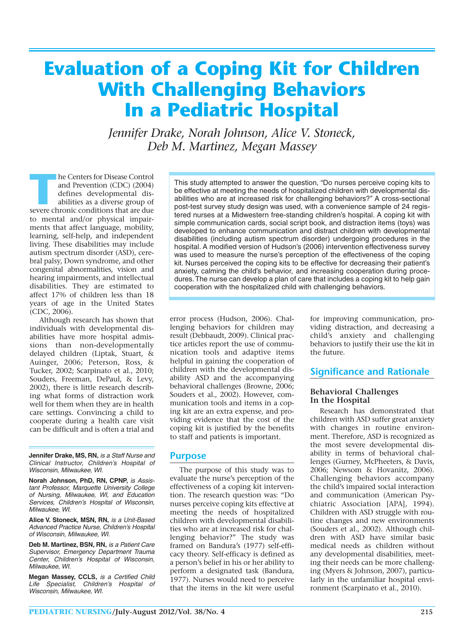# **Evaluation of a Coping Kit for Children With Challenging Behaviors In a Pediatric Hospital**

*Jennifer Drake, Norah Johnson, Alice V. Stoneck, Deb M. Martinez, Megan Massey*

**THE MEN FRAME SET ASSESS**<br> **THE MEN FRAME SET AND ARE SET AND ARE SET AND ARE SET AND SEVERE CHINE SET AND SEVERE CHINE SET AND SEVERE THE SET AND SEVERE THE SET AND SET AND SET AND SET AND SET AND SET AND SET AND SET AND** and Prevention (CDC) (2004) defines developmental disabilities as a diverse group of to mental and/or physical impairments that affect language, mobility, learning, self-help, and independent living. These disabilities may include autism spectrum disorder (ASD), cerebral palsy, Down syndrome, and other congenital abnormalities, vision and hearing impairments, and intellectual disabilities. They are estimated to affect 17% of children less than 18 years of age in the United States (CDC, 2006).

Although research has shown that individuals with developmental disabilities have more hospital admissions than non-developmentally delayed children (Liptak, Stuart, & Auinger, 2006; Peterson, Ross, & Tucker, 2002; Scarpinato et al., 2010; Souders, Freeman, DePaul, & Levy, 2002), there is little research describing what forms of distraction work well for them when they are in health care settings. Convincing a child to cooperate during a health care visit can be difficult and is often a trial and

**Jennifer Drake, MS, RN,** is a Staff Nurse and Clinical Instructor, Children's Hospital of Wisconsin, Milwaukee, WI.

Norah Johnson, PhD, RN, CPNP, is Assistant Professor, Marquette University College of Nursing, Milwaukee, WI, and Education Services, Children's Hospital of Wisconsin, Milwaukee, WI.

**Alice V. Stoneck, MSN, RN,** is a Unit-Based Advanced Practice Nurse, Children's Hospital of Wisconsin, Milwaukee, WI.

**Deb M. Martinez, BSN, RN,** is a Patient Care Supervisor, Emergency Department Trauma Center, Children's Hospital of Wisconsin, Milwaukee, WI.

**Megan Massey, CCLS,** is a Certified Child Life Specialist, Children's Hospital of Wisconsin, Milwaukee, WI.

This study attempted to answer the question, "Do nurses perceive coping kits to be effective at meeting the needs of hospitalized children with developmental disabilities who are at increased risk for challenging behaviors?" A cross-sectional post-test survey study design was used, with a convenience sample of 24 registered nurses at a Midwestern free-standing children's hospital. A coping kit with simple communication cards, social script book, and distraction items (toys) was developed to enhance communication and distract children with developmental disabilities (including autism spectrum disorder) undergoing procedures in the hospital. A modified version of Hudson's (2006) intervention effectiveness survey was used to measure the nurse's perception of the effectiveness of the coping kit. Nurses perceived the coping kits to be effective for decreasing their patient's anxiety, calming the child's behavior, and increasing cooperation during procedures. The nurse can develop a plan of care that includes a coping kit to help gain cooperation with the hospitalized child with challenging behaviors.

error process (Hudson, 2006). Challenging behaviors for children may result (Debbaudt, 2009). Clinical practice articles report the use of communication tools and adaptive items helpful in gaining the cooperation of children with the developmental disability ASD and the accompanying behavioral challenges (Browne, 2006; Souders et al., 2002). However, communication tools and items in a coping kit are an extra expense, and providing evidence that the cost of the coping kit is justified by the benefits to staff and patients is important.

#### **Purpose**

The purpose of this study was to evaluate the nurse's perception of the effectiveness of a coping kit intervention. The research question was: "Do nurses perceive coping kits effective at meeting the needs of hospitalized children with developmental disabilities who are at increased risk for challenging behavior?" The study was framed on Bandura's (1977) self-efficacy theory. Self-efficacy is defined as a person's belief in his or her ability to perform a designated task (Bandura, 1977). Nurses would need to perceive that the items in the kit were useful

for improving communication, providing distraction, and decreasing a child's anxiety and challenging behaviors to justify their use the kit in the future.

## **Significance and Rationale**

#### **Behavioral Challenges In the Hospital**

Research has demonstrated that children with ASD suffer great anxiety with changes in routine environment. Therefore, ASD is recognized as the most severe developmental disability in terms of behavioral challenges (Gurney, McPheeters, & Davis, 2006; Newsom & Hovanitz, 2006). Challenging behaviors accompany the child's impaired social interaction and communication (American Psychiatric Association [APA], 1994). Children with ASD struggle with routine changes and new environments (Souders et al., 2002). Although children with ASD have similar basic medical needs as children without any developmental disabilities, meeting their needs can be more challenging (Myers & Johnson, 2007), particularly in the unfamiliar hospital environment (Scarpinato et al., 2010).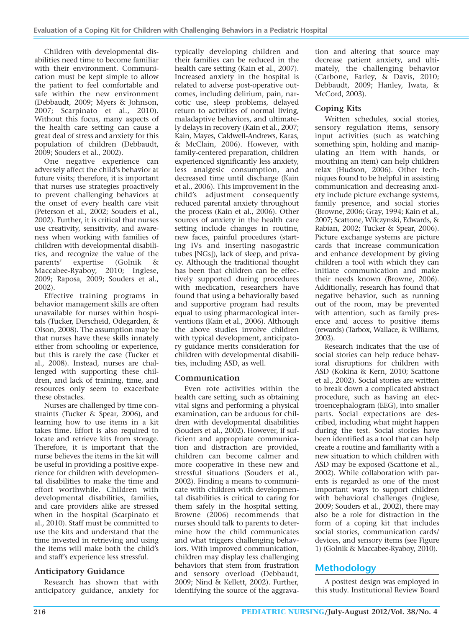Children with developmental disabilities need time to become familiar with their environment. Communication must be kept simple to allow the patient to feel comfortable and safe within the new environment (Debbaudt, 2009; Myers & Johnson, 2007; Scarpinato et al., 2010). Without this focus, many aspects of the health care setting can cause a great deal of stress and anxiety for this population of children (Debbaudt, 2009; Souders et al., 2002).

One negative experience can adversely affect the child's behavior at future visits; therefore, it is important that nurses use strategies proactively to prevent challenging behaviors at the onset of every health care visit (Peterson et al., 2002; Souders et al., 2002). Further, it is critical that nurses use creativity, sensitivity, and awareness when working with families of children with developmental disabilities, and recognize the value of the<br>parents' expertise (Golnik & expertise (Golnik & Maccabee-Ryaboy, 2010; Inglese, 2009; Raposa, 2009; Souders et al., 2002).

Effective training programs in behavior management skills are often unavailable for nurses within hospitals (Tucker, Derscheid, Odegarden, & Olson, 2008). The assumption may be that nurses have these skills innately either from schooling or experience, but this is rarely the case (Tucker et al., 2008). Instead, nurses are challenged with supporting these children, and lack of training, time, and resources only seem to exacerbate these obstacles.

Nurses are challenged by time constraints (Tucker & Spear, 2006), and learning how to use items in a kit takes time. Effort is also required to locate and retrieve kits from storage. Therefore, it is important that the nurse believes the items in the kit will be useful in providing a positive experience for children with developmental disabilities to make the time and effort worthwhile. Children with developmental disabilities, families, and care providers alike are stressed when in the hospital (Scarpinato et al., 2010). Staff must be committed to use the kits and understand that the time invested in retrieving and using the items will make both the child's and staff's experience less stressful.

#### **Anticipatory Guidance**

Research has shown that with anticipatory guidance, anxiety for

typically developing children and their families can be reduced in the health care setting (Kain et al., 2007). Increased anxiety in the hospital is related to adverse post-operative outcomes, including delirium, pain, narcotic use, sleep problems, delayed return to activities of normal living, maladaptive behaviors, and ultimately delays in recovery (Kain et al., 2007; Kain, Mayes, Caldwell-Andrews, Karas, & McClain, 2006). However, with family-centered preparation, children experienced significantly less anxiety, less analgesic consumption, and decreased time until discharge (Kain et al., 2006). This improvement in the child's adjustment consequently reduced parental anxiety throughout the process (Kain et al., 2006). Other sources of anxiety in the health care setting include changes in routine, new faces, painful procedures (starting IVs and inserting nasogastric tubes [NGs]), lack of sleep, and privacy. Although the traditional thought has been that children can be effectively supported during procedures with medication, researchers have found that using a behaviorally based and supportive program had results equal to using pharmacological interventions (Kain et al., 2006). Although the above studies involve children with typical development, anticipatory guidance merits consideration for children with developmental disabilities, including ASD, as well.

#### **Communication**

Even rote activities within the health care setting, such as obtaining vital signs and performing a physical examination, can be arduous for children with developmental disabilities (Souders et al., 2002). However, if sufficient and appropriate communication and distraction are provided, children can become calmer and more cooperative in these new and stressful situations (Souders et al., 2002). Finding a means to communicate with children with developmental disabilities is critical to caring for them safely in the hospital setting. Browne (2006) recommends that nurses should talk to parents to determine how the child communicates and what triggers challenging behaviors. With improved communication, children may display less challenging behaviors that stem from frustration and sensory overload (Debbaudt, 2009; Nind & Kellett, 2002). Further, identifying the source of the aggrava-

tion and altering that source may decrease patient anxiety, and ultimately, the challenging behavior (Carbone, Farley, & Davis, 2010; Debbaudt, 2009; Hanley, Iwata, & McCord, 2003).

## **Coping Kits**

Written schedules, social stories, sensory regulation items, sensory input activities (such as watching something spin, holding and manipulating an item with hands, or mouthing an item) can help children relax (Hudson, 2006). Other techniques found to be helpful in assisting communication and decreasing anxiety include picture exchange systems, family presence, and social stories (Browne, 2006; Gray, 1994; Kain et al., 2007; Scattone, Wilczynski, Edwards, & Rabian, 2002; Tucker & Spear, 2006). Picture exchange systems are picture cards that increase communication and enhance development by giving children a tool with which they can initiate communication and make their needs known (Browne, 2006). Additionally, research has found that negative behavior, such as running out of the room, may be prevented with attention, such as family presence and access to positive items (rewards) (Tarbox, Wallace, & Williams, 2003).

Research indicates that the use of social stories can help reduce behavioral disruptions for children with ASD (Kokina & Kern, 2010; Scattone et al., 2002). Social stories are written to break down a complicated abstract procedure, such as having an electroencephalogram (EEG), into smaller parts. Social expectations are described, including what might happen during the test. Social stories have been identified as a tool that can help create a routine and familiarity with a new situation to which children with ASD may be exposed (Scattone et al., 2002). While collaboration with parents is regarded as one of the most important ways to support children with behavioral challenges (Inglese, 2009; Souders et al., 2002), there may also be a role for distraction in the form of a coping kit that includes social stories, communication cards/ devices, and sensory items (see Figure 1) (Golnik & Maccabee-Ryaboy, 2010).

## **Methodology**

A posttest design was employed in this study. Institutional Review Board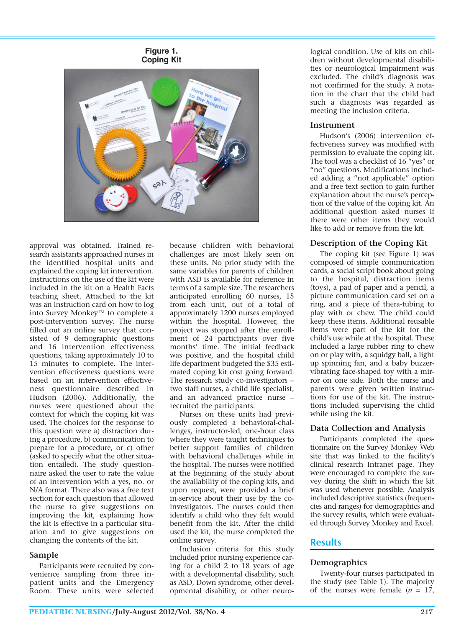**Figure 1. Coping Kit**



approval was obtained. Trained research assistants approached nurses in the identified hospital units and explained the coping kit intervention. Instructions on the use of the kit were included in the kit on a Health Facts teaching sheet. Attached to the kit was an instruction card on how to log into Survey Monkey™ to complete a post-intervention survey. The nurse filled out an online survey that consisted of 9 demographic questions and 16 intervention effectiveness questions, taking approximately 10 to 15 minutes to complete. The intervention effectiveness questions were based on an intervention effectiveness questionnaire described in Hudson (2006). Additionally, the nurses were questioned about the context for which the coping kit was used. The choices for the response to this question were a) distraction during a procedure, b) communication to prepare for a procedure, or c) other (asked to specify what the other situation entailed). The study questionnaire asked the user to rate the value of an intervention with a yes, no, or N/A format. There also was a free text section for each question that allowed the nurse to give suggestions on improving the kit, explaining how the kit is effective in a particular situation and to give suggestions on changing the contents of the kit.

#### **Sample**

Participants were recruited by convenience sampling from three inpatient units and the Emergency Room. These units were selected

because children with behavioral challenges are most likely seen on these units. No prior study with the same variables for parents of children with ASD is available for reference in terms of a sample size. The researchers anticipated enrolling 60 nurses, 15 from each unit, out of a total of approximately 1200 nurses employed within the hospital. However, the project was stopped after the enrollment of 24 participants over five months' time. The initial feedback was positive, and the hospital child life department budgeted the \$35 estimated coping kit cost going forward. The research study co-investigators – two staff nurses, a child life specialist, and an advanced practice nurse – recruited the participants.

Nurses on these units had previously completed a behavioral-challenges, instructor-led, one-hour class where they were taught techniques to better support families of children with behavioral challenges while in the hospital. The nurses were notified at the beginning of the study about the availability of the coping kits, and upon request, were provided a brief in-service about their use by the coinvestigators. The nurses could then identify a child who they felt would benefit from the kit. After the child used the kit, the nurse completed the online survey.

Inclusion criteria for this study included prior nursing experience caring for a child 2 to 18 years of age with a developmental disability, such as ASD, Down syndrome, other developmental disability, or other neurological condition. Use of kits on children without developmental disabilities or neurological impairment was excluded. The child's diagnosis was not confirmed for the study. A notation in the chart that the child had such a diagnosis was regarded as meeting the inclusion criteria.

#### **Instrument**

Hudson's (2006) intervention effectiveness survey was modified with permission to evaluate the coping kit. The tool was a checklist of 16 "yes" or "no" questions. Modifications included adding a "not applicable" option and a free text section to gain further explanation about the nurse's perception of the value of the coping kit. An additional question asked nurses if there were other items they would like to add or remove from the kit.

#### **Description of the Coping Kit**

The coping kit (see Figure 1) was composed of simple communication cards, a social script book about going to the hospital, distraction items (toys), a pad of paper and a pencil, a picture communication card set on a ring, and a piece of thera-tubing to play with or chew. The child could keep these items. Additional reusable items were part of the kit for the child's use while at the hospital. These included a large rubber ring to chew on or play with, a squidgy ball, a light up spinning fan, and a baby buzzervibrating face-shaped toy with a mirror on one side. Both the nurse and parents were given written instructions for use of the kit. The instructions included supervising the child while using the kit.

#### **Data Collection and Analysis**

Participants completed the questionnaire on the Survey Monkey Web site that was linked to the facility's clinical research Intranet page. They were encouraged to complete the survey during the shift in which the kit was used whenever possible. Analysis included descriptive statistics (frequencies and ranges) for demographics and the survey results, which were evaluated through Survey Monkey and Excel.

#### **Results**

#### **Demographics**

Twenty-four nurses participated in the study (see Table 1). The majority of the nurses were female  $(n = 17)$ ,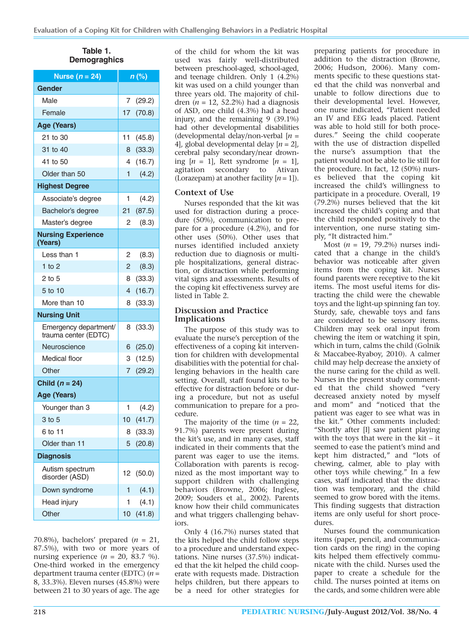**Table 1. Demograghics**

| Nurse $(n = 24)$                              | $n$ (%) |          |
|-----------------------------------------------|---------|----------|
| <b>Gender</b>                                 |         |          |
| Male                                          | 7       | (29.2)   |
| Female                                        | 17      | (70.8)   |
| Age (Years)                                   |         |          |
| 21 to 30                                      | 11      | (45.8)   |
| 31 to 40                                      | 8       | (33.3)   |
| 41 to 50                                      | 4       | (16.7)   |
| Older than 50                                 | 1       | (4.2)    |
| <b>Highest Degree</b>                         |         |          |
| Associate's degree                            | 1       | (4.2)    |
| Bachelor's degree                             | 21      | (87.5)   |
| Master's degree                               | 2       | (8.3)    |
| <b>Nursing Experience</b><br>(Years)          |         |          |
| Less than 1                                   | 2       | (8.3)    |
| $1$ to $2$                                    | 2       | (8.3)    |
| 2 to 5                                        | 8       | (33.3)   |
| 5 to 10                                       | 4       | (16.7)   |
| More than 10                                  | 8       | (33.3)   |
| <b>Nursing Unit</b>                           |         |          |
| Emergency department/<br>trauma center (EDTC) | 8       | (33.3)   |
| Neuroscience                                  | 6       | (25.0)   |
| <b>Medical floor</b>                          | 3       | (12.5)   |
| Other                                         | 7       | (29.2)   |
| Child $(n = 24)$                              |         |          |
| Age (Years)                                   |         |          |
| Younger than 3                                | 1       | (4.2)    |
| $3$ to $5$                                    | $10-10$ | (41.7)   |
| 6 to 11                                       |         | 8 (33.3) |
| Older than 11                                 | 5       | (20.8)   |
| <b>Diagnosis</b>                              |         |          |
| Autism spectrum<br>disorder (ASD)             | 12      | (50.0)   |
| Down syndrome                                 | 1       | (4.1)    |
| Head injury                                   | 1       | (4.1)    |
| Other                                         | 10      | (41.8)   |

70.8%), bachelors' prepared  $(n = 21,$ 87.5%), with two or more years of nursing experience (*n* = 20, 83.7 %). One-third worked in the emergency department trauma center (EDTC) (*n* = 8, 33.3%). Eleven nurses (45.8%) were between 21 to 30 years of age. The age

of the child for whom the kit was used was fairly well-distributed between preschool-aged, school-aged, and teenage children. Only 1 (4.2%) kit was used on a child younger than three years old. The majority of children  $(n = 12, 52.2\%)$  had a diagnosis of ASD, one child (4.3%) had a head injury, and the remaining 9 (39.1%) had other developmental disabilities (developmental delay/non-verbal [*n* = 4], global developmental delay [*n* = 2], cerebral palsy secondary/near drowning  $[n = 1]$ , Rett syndrome  $[n = 1]$ , agitation secondary to Ativan (Lorazepam) at another facility  $[n = 1]$ ).

#### **Context of Use**

Nurses responded that the kit was used for distraction during a procedure (50%), communication to prepare for a procedure (4.2%), and for other uses (50%). Other uses that nurses identified included anxiety reduction due to diagnosis or multiple hospitalizations, general distraction, or distraction while performing vital signs and assessments. Results of the coping kit effectiveness survey are listed in Table 2.

#### **Discussion and Practice Implications**

The purpose of this study was to evaluate the nurse's perception of the effectiveness of a coping kit intervention for children with developmental disabilities with the potential for challenging behaviors in the health care setting. Overall, staff found kits to be effective for distraction before or during a procedure, but not as useful communication to prepare for a procedure.

The majority of the time  $(n = 22)$ , 91.7%) parents were present during the kit's use, and in many cases, staff indicated in their comments that the parent was eager to use the items. Collaboration with parents is recognized as the most important way to support children with challenging behaviors (Browne, 2006; Inglese, 2009; Souders et al., 2002). Parents know how their child communicates and what triggers challenging behaviors.

Only 4 (16.7%) nurses stated that the kits helped the child follow steps to a procedure and understand expectations. Nine nurses (37.5%) indicated that the kit helped the child cooperate with requests made. Distraction helps children, but there appears to be a need for other strategies for preparing patients for procedure in addition to the distraction (Browne, 2006; Hudson, 2006). Many comments specific to these questions stated that the child was nonverbal and unable to follow directions due to their developmental level. However, one nurse indicated, "Patient needed an IV and EEG leads placed. Patient was able to hold still for both procedures." Seeing the child cooperate with the use of distraction dispelled the nurse's assumption that the patient would not be able to lie still for the procedure. In fact, 12 (50%) nurses believed that the coping kit increased the child's willingness to participate in a procedure. Overall, 19 (79.2%) nurses believed that the kit increased the child's coping and that the child responded positively to the intervention, one nurse stating simply, "It distracted him."

Most (*n* = 19, 79.2%) nurses indicated that a change in the child's behavior was noticeable after given items from the coping kit. Nurses found parents were receptive to the kit items. The most useful items for distracting the child were the chewable toys and the light-up spinning fan toy. Sturdy, safe, chewable toys and fans are considered to be sensory items. Children may seek oral input from chewing the item or watching it spin, which in turn, calms the child (Golnik & Maccabee-Ryaboy, 2010). A calmer child may help decrease the anxiety of the nurse caring for the child as well. Nurses in the present study commented that the child showed "very decreased anxiety noted by myself and mom" and "noticed that the patient was eager to see what was in the kit." Other comments included: "Shortly after [I] saw patient playing with the toys that were in the kit – it seemed to ease the patient's mind and kept him distracted," and "lots of chewing, calmer, able to play with other toys while chewing." In a few cases, staff indicated that the distraction was temporary, and the child seemed to grow bored with the items. This finding suggests that distraction items are only useful for short procedures.

Nurses found the communication items (paper, pencil, and communication cards on the ring) in the coping kits helped them effectively communicate with the child. Nurses used the paper to create a schedule for the child. The nurses pointed at items on the cards, and some children were able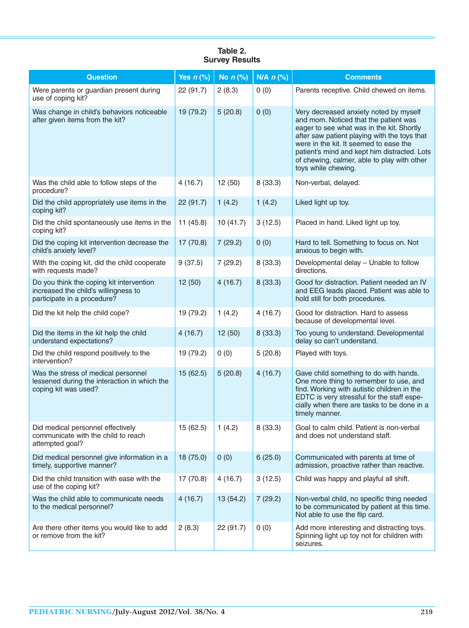| <b>Question</b>                                                                                                 | Yes $n$ (%) | No $n$ (%) | $N/A$ $n$ (%) | <b>Comments</b>                                                                                                                                                                                                                                                                                                                              |
|-----------------------------------------------------------------------------------------------------------------|-------------|------------|---------------|----------------------------------------------------------------------------------------------------------------------------------------------------------------------------------------------------------------------------------------------------------------------------------------------------------------------------------------------|
| Were parents or guardian present during<br>use of coping kit?                                                   | 22 (91.7)   | 2(8.3)     | 0(0)          | Parents receptive. Child chewed on items.                                                                                                                                                                                                                                                                                                    |
| Was change in child's behaviors noticeable<br>after given items from the kit?                                   | 19 (79.2)   | 5(20.8)    | 0(0)          | Very decreased anxiety noted by myself<br>and mom. Noticed that the patient was<br>eager to see what was in the kit. Shortly<br>after saw patient playing with the toys that<br>were in the kit. It seemed to ease the<br>patient's mind and kept him distracted. Lots<br>of chewing, calmer, able to play with other<br>toys while chewing. |
| Was the child able to follow steps of the<br>procedure?                                                         | 4(16.7)     | 12(50)     | 8(33.3)       | Non-verbal, delayed.                                                                                                                                                                                                                                                                                                                         |
| Did the child appropriately use items in the<br>coping kit?                                                     | 22(91.7)    | 1(4.2)     | 1(4.2)        | Liked light up toy.                                                                                                                                                                                                                                                                                                                          |
| Did the child spontaneously use items in the<br>coping kit?                                                     | 11(45.8)    | 10(41.7)   | 3(12.5)       | Placed in hand. Liked light up toy.                                                                                                                                                                                                                                                                                                          |
| Did the coping kit intervention decrease the<br>child's anxiety level?                                          | 17(70.8)    | 7(29.2)    | 0(0)          | Hard to tell. Something to focus on. Not<br>anxious to begin with.                                                                                                                                                                                                                                                                           |
| With the coping kit, did the child cooperate<br>with requests made?                                             | 9(37.5)     | 7(29.2)    | 8(33.3)       | Developmental delay - Unable to follow<br>directions.                                                                                                                                                                                                                                                                                        |
| Do you think the coping kit intervention<br>increased the child's willingness to<br>participate in a procedure? | 12(50)      | 4(16.7)    | 8(33.3)       | Good for distraction. Patient needed an IV<br>and EEG leads placed. Patient was able to<br>hold still for both procedures.                                                                                                                                                                                                                   |
| Did the kit help the child cope?                                                                                | 19 (79.2)   | 1(4.2)     | 4(16.7)       | Good for distraction. Hard to assess<br>because of developmental level.                                                                                                                                                                                                                                                                      |
| Did the items in the kit help the child<br>understand expectations?                                             | 4(16.7)     | 12(50)     | 8(33.3)       | Too young to understand. Developmental<br>delay so can't understand.                                                                                                                                                                                                                                                                         |
| Did the child respond positively to the<br>intervention?                                                        | 19 (79.2)   | 0(0)       | 5(20.8)       | Played with toys.                                                                                                                                                                                                                                                                                                                            |
| Was the stress of medical personnel<br>lessened during the interaction in which the<br>coping kit was used?     | 15(62.5)    | 5(20.8)    | 4(16.7)       | Gave child something to do with hands.<br>One more thing to remember to use, and<br>find. Working with autistic children in the<br>EDTC is very stressful for the staff espe-<br>cially when there are tasks to be done in a<br>timely manner.                                                                                               |
| Did medical personnel effectively<br>communicate with the child to reach<br>attempted goal?                     | 15 (62.5)   | 1(4.2)     | 8(33.3)       | Goal to calm child. Patient is non-verbal<br>and does not understand staff.                                                                                                                                                                                                                                                                  |
| Did medical personnel give information in a<br>timely, supportive manner?                                       | 18 (75.0)   | 0(0)       | 6(25.0)       | Communicated with parents at time of<br>admission, proactive rather than reactive.                                                                                                                                                                                                                                                           |
| Did the child transition with ease with the<br>use of the coping kit?                                           | 17 (70.8)   | 4(16.7)    | 3(12.5)       | Child was happy and playful all shift.                                                                                                                                                                                                                                                                                                       |
| Was the child able to communicate needs<br>to the medical personnel?                                            | 4(16.7)     | 13 (54.2)  | 7(29.2)       | Non-verbal child, no specific thing needed<br>to be communicated by patient at this time.<br>Not able to use the flip card.                                                                                                                                                                                                                  |
| Are there other items you would like to add<br>or remove from the kit?                                          | 2(8.3)      | 22 (91.7)  | 0(0)          | Add more interesting and distracting toys.<br>Spinning light up toy not for children with<br>seizures.                                                                                                                                                                                                                                       |

#### **Table 2. Survey Results**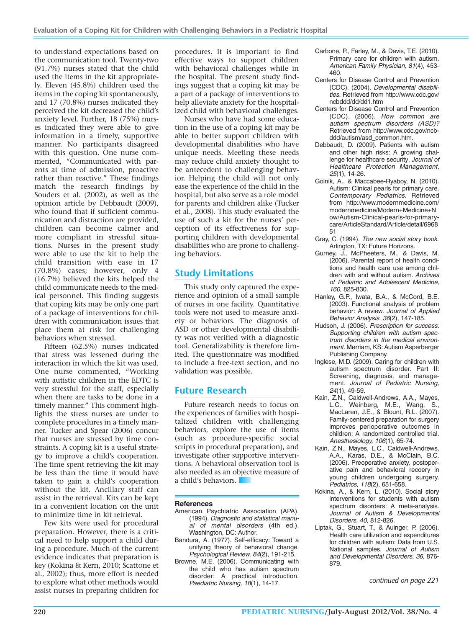to understand expectations based on the communication tool. Twenty-two (91.7%) nurses stated that the child used the items in the kit appropriately. Eleven (45.8%) children used the items in the coping kit spontaneously, and 17 (70.8%) nurses indicated they perceived the kit decreased the child's anxiety level. Further, 18 (75%) nurses indicated they were able to give information in a timely, supportive manner. No participants disagreed with this question. One nurse commented, "Communicated with parents at time of admission, proactive rather than reactive." These findings match the research findings by Souders et al. (2002), as well as the opinion article by Debbaudt (2009), who found that if sufficient communication and distraction are provided, children can become calmer and more compliant in stressful situations. Nurses in the present study were able to use the kit to help the child transition with ease in 17 (70.8%) cases; however, only 4 (16.7%) believed the kits helped the child communicate needs to the medical personnel. This finding suggests that coping kits may be only one part of a package of interventions for children with communication issues that place them at risk for challenging behaviors when stressed.

Fifteen (62.5%) nurses indicated that stress was lessened during the interaction in which the kit was used. One nurse commented, "Working with autistic children in the EDTC is very stressful for the staff, especially when there are tasks to be done in a timely manner." This comment highlights the stress nurses are under to complete procedures in a timely manner. Tucker and Spear (2006) concur that nurses are stressed by time constraints. A coping kit is a useful strategy to improve a child's cooperation. The time spent retrieving the kit may be less than the time it would have taken to gain a child's cooperation without the kit. Ancillary staff can assist in the retrieval. Kits can be kept in a convenient location on the unit to minimize time in kit retrieval.

Few kits were used for procedural preparation. However, there is a critical need to help support a child during a procedure. Much of the current evidence indicates that preparation is key (Kokina & Kern, 2010; Scattone et al., 2002); thus, more effort is needed to explore what other methods would assist nurses in preparing children for

procedures. It is important to find effective ways to support children with behavioral challenges while in the hospital. The present study findings suggest that a coping kit may be a part of a package of interventions to help alleviate anxiety for the hospitalized child with behavioral challenges.

Nurses who have had some education in the use of a coping kit may be able to better support children with developmental disabilities who have unique needs. Meeting these needs may reduce child anxiety thought to be antecedent to challenging behavior. Helping the child will not only ease the experience of the child in the hospital, but also serve as a role model for parents and children alike (Tucker et al., 2008). This study evaluated the use of such a kit for the nurses' perception of its effectiveness for supporting children with developmental disabilities who are prone to challenging behaviors.

## **Study Limitations**

This study only captured the experience and opinion of a small sample of nurses in one facility. Quantitative tools were not used to measure anxiety or behaviors. The diagnosis of ASD or other developmental disability was not verified with a diagnostic tool. Generalizability is therefore limited. The questionnaire was modified to include a free-text section, and no validation was possible.

## **Future Research**

Future research needs to focus on the experiences of families with hospitalized children with challenging behaviors, explore the use of items (such as procedure-specific social scripts in procedural preparation), and investigate other supportive interventions. A behavioral observation tool is also needed as an objective measure of a child's behaviors.

#### **References**

- American Psychiatric Association (APA). (1994). Diagnostic and statistical manual of mental disorders (4th ed.). Washington, DC: Author.
- Bandura, A. (1977). Self-efficacy: Toward a unifying theory of behavioral change. Psychological Review, 84(2), 191-215.
- Browne, M.E. (2006). Communicating with the child who has autism spectrum disorder: A practical introduction. Paediatric Nursing, 18(1), 14-17.
- Carbone, P., Farley, M., & Davis, T.E. (2010). Primary care for children with autism. American Family Physician, 81(4), 453- 460.
- Centers for Disease Control and Prevention (CDC). (2004). Developmental disabilities. Retrieved from http://www.cdc.gov/ ncbddd/dd/dd1.htm
- Centers for Disease Control and Prevention (CDC). (2006). How common are autism spectrum disorders (ASD)? Retrieved from http://www.cdc.gov/ncbddd/autism/asd\_common.htm.
- Debbaudt, D. (2009). Patients with autism and other high risks: A growing challenge for healthcare security. Journal of Healthcare Protection Management, 25(1), 14-26.
- Golnik, A., & Maccabee-Ryaboy, N. (2010). Autism: Clinical pearls for primary care. Contemporary Pediatrics. Retrieved from http://www.modernmedicine.com/ modernmedicine/Modern+Medicine+N ow/Autism-Clinical-pearls-for-primarycare/ArticleStandard/Article/detail/6968 51
- Gray, C. (1994). The new social story book. Arlington, TX: Future Horizons.
- Gurney, J., McPheeters, M., & Davis, M. (2006). Parental report of health conditions and health care use among children with and without autism. Archives of Pediatric and Adolescent Medicine, 160, 825-830.
- Hanley, G.P., Iwata, B.A., & McCord, B.E. (2003). Functional analysis of problem behavior: A review. Journal of Applied Behavior Analysis, 36(2), 147-185.
- Hudson, J. (2006). Prescription for success: Supporting children with autism spectrum disorders in the medical environment. Merriam, KS: Autism Asperberger Publishing Company.
- Inglese, M.D. (2009). Caring for children with autism spectrum disorder. Part II: Screening, diagnosis, and management. Journal of Pediatric Nursing, 24(1), 49-59.
- Kain, Z.N., Caldwell-Andrews, A.A., Mayes, L.C., Weinberg, M.E., Wang, S., MacLaren, J.E., & Blount, R.L. (2007). Family-centered preparation for surgery improves perioperative outcomes in children: A randomized controlled trial. Anesthesiology, 106(1), 65-74.
- Kain, Z.N., Mayes, L.C., Caldwell-Andrews, A.A., Karas, D.E., & McClain, B.C. (2006). Preoperative anxiety, postoperative pain and behavioral recoery in young children undergoing surgery. Pediatrics, 118(2), 651-658.
- Kokina, A., & Kern, L. (2010). Social story interventions for students with autism spectrum disorders: A meta-analysis. Journal of Autism & Developmental Disorders, 40, 812-826.
- Liptak, G., Stuart, T., & Auinger, P. (2006). Health care utilization and expenditures for children with autism: Data from U.S. National samples. Journal of Autism and Developmental Disorders, 36, 876- 879.

*continued on page 221*